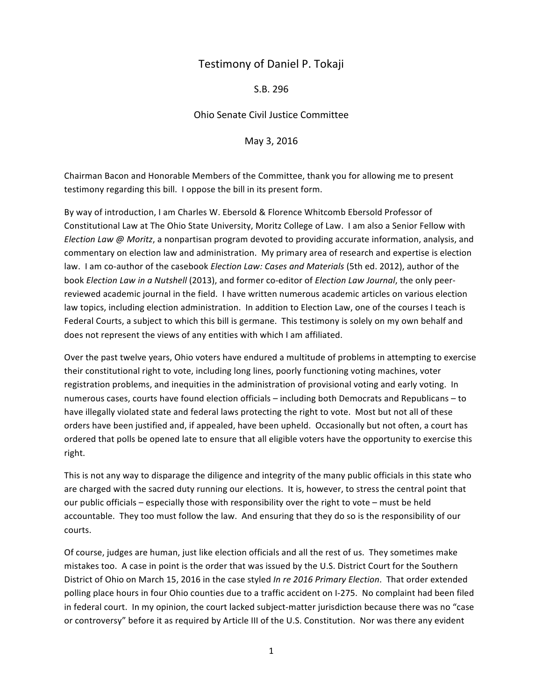## Testimony of Daniel P. Tokaji

S.B. 296

Ohio Senate Civil Justice Committee

May 3, 2016

Chairman Bacon and Honorable Members of the Committee, thank you for allowing me to present testimony regarding this bill. I oppose the bill in its present form.

By way of introduction, I am Charles W. Ebersold & Florence Whitcomb Ebersold Professor of Constitutional Law at The Ohio State University, Moritz College of Law. I am also a Senior Fellow with *Election Law @ Moritz*, a nonpartisan program devoted to providing accurate information, analysis, and commentary on election law and administration. My primary area of research and expertise is election law. I am co-author of the casebook *Election Law: Cases and Materials* (5th ed. 2012), author of the book *Election Law in a Nutshell* (2013), and former co-editor of *Election Law Journal*, the only peerreviewed academic journal in the field. I have written numerous academic articles on various election law topics, including election administration. In addition to Election Law, one of the courses I teach is Federal Courts, a subject to which this bill is germane. This testimony is solely on my own behalf and does not represent the views of any entities with which I am affiliated.

Over the past twelve years, Ohio voters have endured a multitude of problems in attempting to exercise their constitutional right to vote, including long lines, poorly functioning voting machines, voter registration problems, and inequities in the administration of provisional voting and early voting. In numerous cases, courts have found election officials – including both Democrats and Republicans – to have illegally violated state and federal laws protecting the right to vote. Most but not all of these orders have been justified and, if appealed, have been upheld. Occasionally but not often, a court has ordered that polls be opened late to ensure that all eligible voters have the opportunity to exercise this right. 

This is not any way to disparage the diligence and integrity of the many public officials in this state who are charged with the sacred duty running our elections. It is, however, to stress the central point that our public officials – especially those with responsibility over the right to vote – must be held accountable. They too must follow the law. And ensuring that they do so is the responsibility of our courts. 

Of course, judges are human, just like election officials and all the rest of us. They sometimes make mistakes too. A case in point is the order that was issued by the U.S. District Court for the Southern District of Ohio on March 15, 2016 in the case styled *In re 2016 Primary Election*. That order extended polling place hours in four Ohio counties due to a traffic accident on I-275. No complaint had been filed in federal court. In my opinion, the court lacked subject-matter jurisdiction because there was no "case or controversy" before it as required by Article III of the U.S. Constitution. Nor was there any evident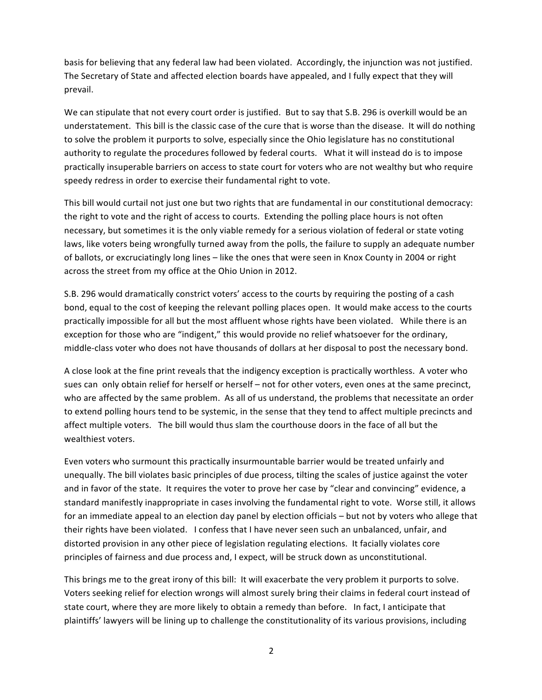basis for believing that any federal law had been violated. Accordingly, the injunction was not justified. The Secretary of State and affected election boards have appealed, and I fully expect that they will prevail. 

We can stipulate that not every court order is justified. But to say that S.B. 296 is overkill would be an understatement. This bill is the classic case of the cure that is worse than the disease. It will do nothing to solve the problem it purports to solve, especially since the Ohio legislature has no constitutional authority to regulate the procedures followed by federal courts. What it will instead do is to impose practically insuperable barriers on access to state court for voters who are not wealthy but who require speedy redress in order to exercise their fundamental right to vote.

This bill would curtail not just one but two rights that are fundamental in our constitutional democracy: the right to vote and the right of access to courts. Extending the polling place hours is not often necessary, but sometimes it is the only viable remedy for a serious violation of federal or state voting laws, like voters being wrongfully turned away from the polls, the failure to supply an adequate number of ballots, or excruciatingly long lines - like the ones that were seen in Knox County in 2004 or right across the street from my office at the Ohio Union in 2012.

S.B. 296 would dramatically constrict voters' access to the courts by requiring the posting of a cash bond, equal to the cost of keeping the relevant polling places open. It would make access to the courts practically impossible for all but the most affluent whose rights have been violated. While there is an exception for those who are "indigent," this would provide no relief whatsoever for the ordinary, middle-class voter who does not have thousands of dollars at her disposal to post the necessary bond.

A close look at the fine print reveals that the indigency exception is practically worthless. A voter who sues can only obtain relief for herself or herself – not for other voters, even ones at the same precinct, who are affected by the same problem. As all of us understand, the problems that necessitate an order to extend polling hours tend to be systemic, in the sense that they tend to affect multiple precincts and affect multiple voters. The bill would thus slam the courthouse doors in the face of all but the wealthiest voters.

Even voters who surmount this practically insurmountable barrier would be treated unfairly and unequally. The bill violates basic principles of due process, tilting the scales of justice against the voter and in favor of the state. It requires the voter to prove her case by "clear and convincing" evidence, a standard manifestly inappropriate in cases involving the fundamental right to vote. Worse still, it allows for an immediate appeal to an election day panel by election officials – but not by voters who allege that their rights have been violated. I confess that I have never seen such an unbalanced, unfair, and distorted provision in any other piece of legislation regulating elections. It facially violates core principles of fairness and due process and, I expect, will be struck down as unconstitutional.

This brings me to the great irony of this bill: It will exacerbate the very problem it purports to solve. Voters seeking relief for election wrongs will almost surely bring their claims in federal court instead of state court, where they are more likely to obtain a remedy than before. In fact, I anticipate that plaintiffs' lawyers will be lining up to challenge the constitutionality of its various provisions, including